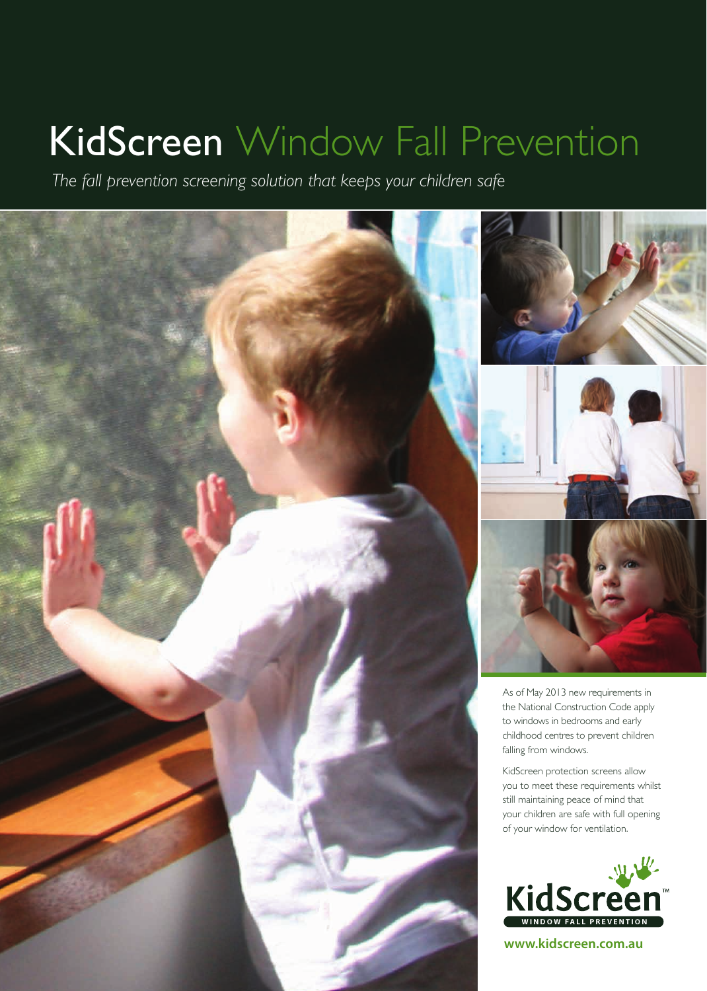## KidScreen Window Fall Prevention

*The fall prevention screening solution that keeps your children safe*